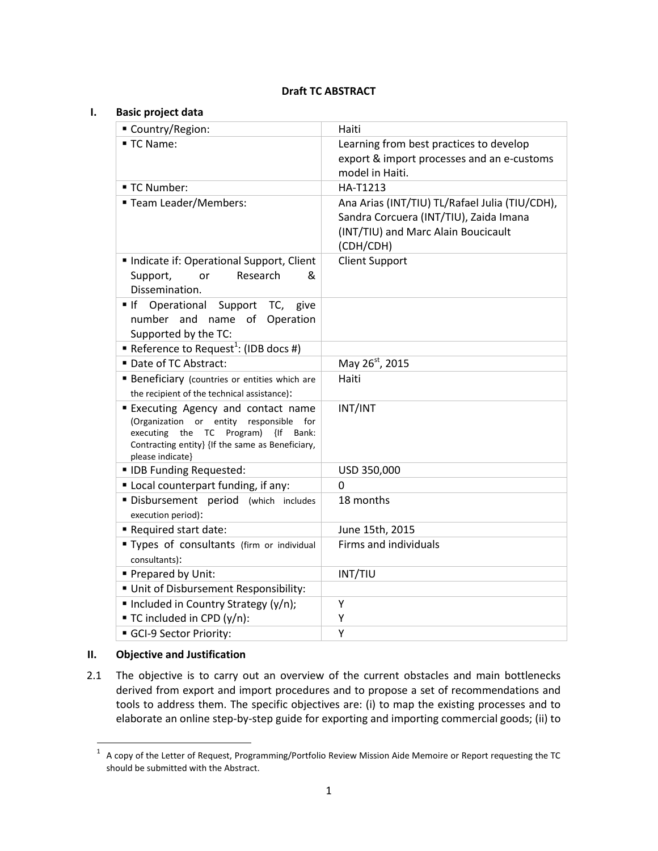# **Draft TC ABSTRACT**

| <b>Basic project data</b>                                                                                                                                                                                |                                                                                                                                              |  |  |
|----------------------------------------------------------------------------------------------------------------------------------------------------------------------------------------------------------|----------------------------------------------------------------------------------------------------------------------------------------------|--|--|
| Country/Region:                                                                                                                                                                                          | Haiti                                                                                                                                        |  |  |
| ■ TC Name:                                                                                                                                                                                               | Learning from best practices to develop<br>export & import processes and an e-customs<br>model in Haiti.                                     |  |  |
| ■ TC Number:                                                                                                                                                                                             | HA-T1213                                                                                                                                     |  |  |
| ■ Team Leader/Members:                                                                                                                                                                                   | Ana Arias (INT/TIU) TL/Rafael Julia (TIU/CDH),<br>Sandra Corcuera (INT/TIU), Zaida Imana<br>(INT/TIU) and Marc Alain Boucicault<br>(CDH/CDH) |  |  |
| Indicate if: Operational Support, Client<br>Research<br>&<br>Support,<br>or<br>Dissemination.                                                                                                            | <b>Client Support</b>                                                                                                                        |  |  |
| $\blacksquare$ If<br>Operational<br>Support<br>TC,<br>give<br>number and name of Operation<br>Supported by the TC:                                                                                       |                                                                                                                                              |  |  |
| Reference to Request <sup>1</sup> : (IDB docs #)                                                                                                                                                         |                                                                                                                                              |  |  |
| Date of TC Abstract:                                                                                                                                                                                     | May 26 <sup>st</sup> , 2015                                                                                                                  |  |  |
| <b>Beneficiary</b> (countries or entities which are<br>the recipient of the technical assistance):                                                                                                       | Haiti                                                                                                                                        |  |  |
| <b>Executing Agency and contact name</b><br>(Organization or entity responsible<br>for<br>executing the TC Program)<br>{If Bank:<br>Contracting entity} {If the same as Beneficiary,<br>please indicate} | INT/INT                                                                                                                                      |  |  |
| " IDB Funding Requested:                                                                                                                                                                                 | USD 350,000                                                                                                                                  |  |  |
| " Local counterpart funding, if any:                                                                                                                                                                     | 0                                                                                                                                            |  |  |
| Disbursement period (which includes<br>execution period):                                                                                                                                                | 18 months                                                                                                                                    |  |  |
| Required start date:                                                                                                                                                                                     | June 15th, 2015                                                                                                                              |  |  |
| " Types of consultants (firm or individual<br>consultants):                                                                                                                                              | Firms and individuals                                                                                                                        |  |  |
| Prepared by Unit:                                                                                                                                                                                        | INT/TIU                                                                                                                                      |  |  |
| Unit of Disbursement Responsibility:                                                                                                                                                                     |                                                                                                                                              |  |  |
| Included in Country Strategy (y/n);                                                                                                                                                                      | Υ                                                                                                                                            |  |  |
| ■ TC included in CPD (y/n):                                                                                                                                                                              | Y                                                                                                                                            |  |  |
| GCI-9 Sector Priority:                                                                                                                                                                                   | Y                                                                                                                                            |  |  |
|                                                                                                                                                                                                          |                                                                                                                                              |  |  |

# **II. Objective and Justification**

2.1 The objective is to carry out an overview of the current obstacles and main bottlenecks derived from export and import procedures and to propose a set of recommendations and tools to address them. The specific objectives are: (i) to map the existing processes and to elaborate an online step-by-step guide for exporting and importing commercial goods; (ii) to

 1 A copy of the Letter of Request, Programming/Portfolio Review Mission Aide Memoire or Report requesting the TC should be submitted with the Abstract.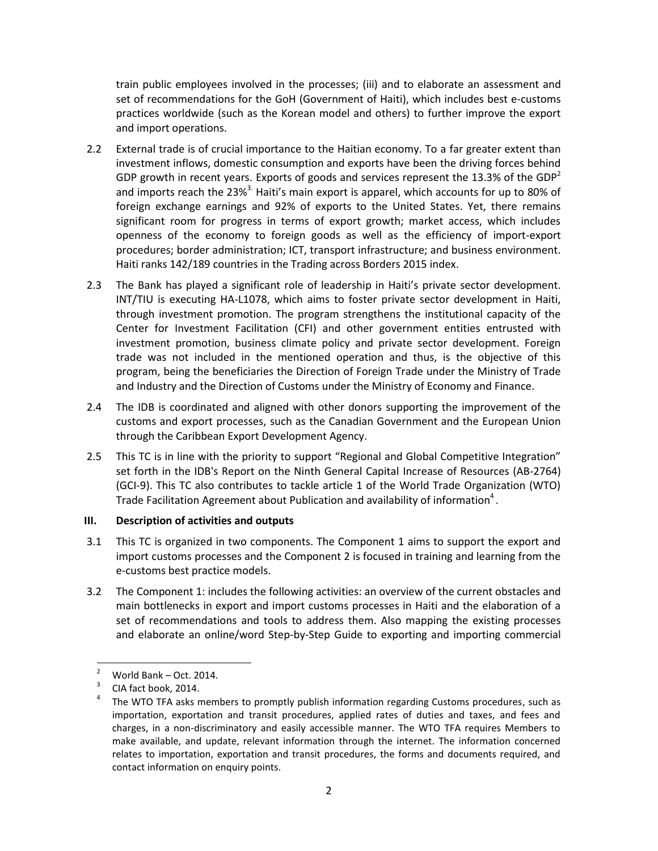train public employees involved in the processes; (iii) and to elaborate an assessment and set of recommendations for the GoH (Government of Haiti), which includes best e-customs practices worldwide (such as the Korean model and others) to further improve the export and import operations.

- 2.2 External trade is of crucial importance to the Haitian economy. To a far greater extent than investment inflows, domestic consumption and exports have been the driving forces behind GDP growth in recent years. Exports of goods and services represent the 13.3% of the GDP<sup>2</sup> and imports reach the 23%<sup>3</sup>. Haiti's main export is apparel, which accounts for up to 80% of foreign exchange earnings and 92% of exports to the United States. Yet, there remains significant room for progress in terms of export growth; market access, which includes openness of the economy to foreign goods as well as the efficiency of import-export procedures; border administration; ICT, transport infrastructure; and business environment. Haiti ranks 142/189 countries in the Trading across Borders 2015 index.
- 2.3 The Bank has played a significant role of leadership in Haiti's private sector development. INT/TIU is executing HA-L1078, which aims to foster private sector development in Haiti, through investment promotion. The program strengthens the institutional capacity of the Center for Investment Facilitation (CFI) and other government entities entrusted with investment promotion, business climate policy and private sector development. Foreign trade was not included in the mentioned operation and thus, is the objective of this program, being the beneficiaries the Direction of Foreign Trade under the Ministry of Trade and Industry and the Direction of Customs under the Ministry of Economy and Finance.
- 2.4 The IDB is coordinated and aligned with other donors supporting the improvement of the customs and export processes, such as the Canadian Government and the European Union through the Caribbean Export Development Agency.
- 2.5 This TC is in line with the priority to support "Regional and Global Competitive Integration" set forth in the IDB's Report on the Ninth General Capital Increase of Resources (AB-2764) (GCI-9). This TC also contributes to tackle article 1 of the World Trade Organization (WTO) Trade Facilitation Agreement about Publication and availability of information<sup>4</sup>.

## **III. Description of activities and outputs**

- 3.1 This TC is organized in two components. The Component 1 aims to support the export and import customs processes and the Component 2 is focused in training and learning from the e-customs best practice models.
- 3.2 The Component 1: includes the following activities: an overview of the current obstacles and main bottlenecks in export and import customs processes in Haiti and the elaboration of a set of recommendations and tools to address them. Also mapping the existing processes and elaborate an online/word Step-by-Step Guide to exporting and importing commercial

 $\overline{2}$ <sup>2</sup> World Bank – Oct. 2014.

<sup>3</sup> CIA fact book, 2014.

<sup>4</sup> The WTO TFA asks members to promptly publish information regarding Customs procedures, such as importation, exportation and transit procedures, applied rates of duties and taxes, and fees and charges, in a non-discriminatory and easily accessible manner. The WTO TFA requires Members to make available, and update, relevant information through the internet. The information concerned relates to importation, exportation and transit procedures, the forms and documents required, and contact information on enquiry points.